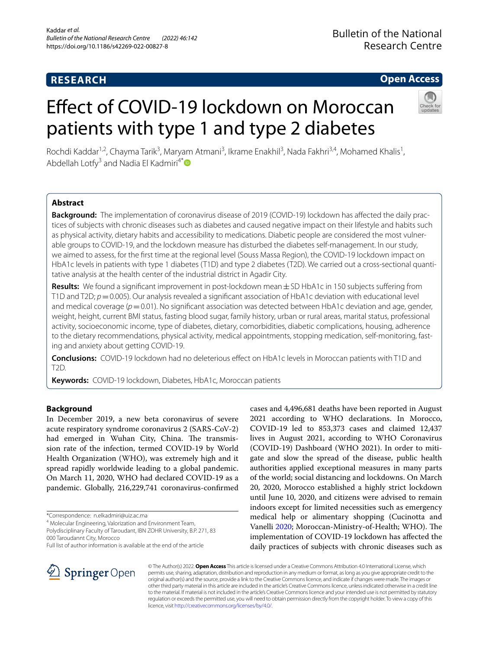# **RESEARCH**

# **Open Access**

# Efect of COVID-19 lockdown on Moroccan patients with type 1 and type 2 diabetes



Rochdi Kaddar<sup>1,2</sup>, Chayma Tarik<sup>3</sup>, Maryam Atmani<sup>3</sup>, Ikrame Enakhil<sup>3</sup>, Nada Fakhri<sup>3,4</sup>, Mohamed Khalis<sup>1</sup>, Abdellah Lotfy<sup>3</sup> and Nadia El Kadmiri<sup>4\*</sup>

# **Abstract**

**Background:** The implementation of coronavirus disease of 2019 (COVID-19) lockdown has afected the daily practices of subjects with chronic diseases such as diabetes and caused negative impact on their lifestyle and habits such as physical activity, dietary habits and accessibility to medications. Diabetic people are considered the most vulnerable groups to COVID-19, and the lockdown measure has disturbed the diabetes self-management. In our study, we aimed to assess, for the frst time at the regional level (Souss Massa Region), the COVID-19 lockdown impact on HbA1c levels in patients with type 1 diabetes (T1D) and type 2 diabetes (T2D). We carried out a cross-sectional quantitative analysis at the health center of the industrial district in Agadir City.

**Results:** We found a signifcant improvement in post-lockdown mean±SD HbA1c in 150 subjects sufering from T1D and T2D;  $p=0.005$ ). Our analysis revealed a significant association of HbA1c deviation with educational level and medical coverage ( $p=0.01$ ). No significant association was detected between HbA1c deviation and age, gender, weight, height, current BMI status, fasting blood sugar, family history, urban or rural areas, marital status, professional activity, socioeconomic income, type of diabetes, dietary, comorbidities, diabetic complications, housing, adherence to the dietary recommendations, physical activity, medical appointments, stopping medication, self-monitoring, fasting and anxiety about getting COVID-19.

**Conclusions:** COVID-19 lockdown had no deleterious efect on HbA1c levels in Moroccan patients with T1D and T2D.

**Keywords:** COVID-19 lockdown, Diabetes, HbA1c, Moroccan patients

# **Background**

In December 2019, a new beta coronavirus of severe acute respiratory syndrome coronavirus 2 (SARS-CoV-2) had emerged in Wuhan City, China. The transmission rate of the infection, termed COVID-19 by World Health Organization (WHO), was extremely high and it spread rapidly worldwide leading to a global pandemic. On March 11, 2020, WHO had declared COVID-19 as a pandemic. Globally, 216,229,741 coronavirus-confrmed

4 Molecular Engineering, Valorization and Environment Team,

Polydisciplinary Faculty of Taroudant, IBN ZOHR University, B.P. 271, 83 000 Taroudannt City, Morocco





© The Author(s) 2022. **Open Access** This article is licensed under a Creative Commons Attribution 4.0 International License, which permits use, sharing, adaptation, distribution and reproduction in any medium or format, as long as you give appropriate credit to the original author(s) and the source, provide a link to the Creative Commons licence, and indicate if changes were made. The images or other third party material in this article are included in the article's Creative Commons licence, unless indicated otherwise in a credit line to the material. If material is not included in the article's Creative Commons licence and your intended use is not permitted by statutory regulation or exceeds the permitted use, you will need to obtain permission directly from the copyright holder. To view a copy of this licence, visit [http://creativecommons.org/licenses/by/4.0/.](http://creativecommons.org/licenses/by/4.0/)

<sup>\*</sup>Correspondence: n.elkadmiri@uiz.ac.ma

Full list of author information is available at the end of the article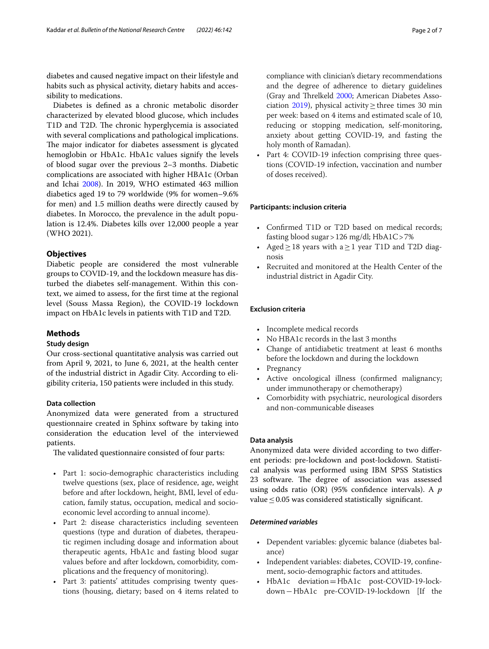diabetes and caused negative impact on their lifestyle and habits such as physical activity, dietary habits and accessibility to medications.

Diabetes is defned as a chronic metabolic disorder characterized by elevated blood glucose, which includes T1D and T2D. The chronic hyperglycemia is associated with several complications and pathological implications. The major indicator for diabetes assessment is glycated hemoglobin or HbA1c. HbA1c values signify the levels of blood sugar over the previous 2–3 months. Diabetic complications are associated with higher HBA1c (Orban and Ichai [2008](#page-5-1)). In 2019, WHO estimated 463 million diabetics aged 19 to 79 worldwide (9% for women–9.6% for men) and 1.5 million deaths were directly caused by diabetes. In Morocco, the prevalence in the adult population is 12.4%. Diabetes kills over 12,000 people a year (WHO 2021).

# **Objectives**

Diabetic people are considered the most vulnerable groups to COVID-19, and the lockdown measure has disturbed the diabetes self-management. Within this context, we aimed to assess, for the frst time at the regional level (Souss Massa Region), the COVID-19 lockdown impact on HbA1c levels in patients with T1D and T2D.

## **Methods**

# **Study design**

Our cross-sectional quantitative analysis was carried out from April 9, 2021, to June 6, 2021, at the health center of the industrial district in Agadir City. According to eligibility criteria, 150 patients were included in this study.

# **Data collection**

Anonymized data were generated from a structured questionnaire created in Sphinx software by taking into consideration the education level of the interviewed patients.

The validated questionnaire consisted of four parts:

- Part 1: socio-demographic characteristics including twelve questions (sex, place of residence, age, weight before and after lockdown, height, BMI, level of education, family status, occupation, medical and socioeconomic level according to annual income).
- Part 2: disease characteristics including seventeen questions (type and duration of diabetes, therapeutic regimen including dosage and information about therapeutic agents, HbA1c and fasting blood sugar values before and after lockdown, comorbidity, complications and the frequency of monitoring).
- Part 3: patients' attitudes comprising twenty questions (housing, dietary; based on 4 items related to

compliance with clinician's dietary recommendations and the degree of adherence to dietary guidelines (Gray and Threlkeld [2000;](#page-5-2) American Diabetes Association [2019](#page-5-3)), physical activity≥three times 30 min per week: based on 4 items and estimated scale of 10, reducing or stopping medication, self-monitoring, anxiety about getting COVID-19, and fasting the holy month of Ramadan).

Part 4: COVID-19 infection comprising three questions (COVID-19 infection, vaccination and number of doses received).

#### **Participants: inclusion criteria**

- Confrmed T1D or T2D based on medical records; fasting blood sugar>126 mg/dl; HbA1C>7%
- Aged≥18 years with a≥1 year T1D and T2D diagnosis
- Recruited and monitored at the Health Center of the industrial district in Agadir City.

# **Exclusion criteria**

- Incomplete medical records
- No HBA1c records in the last 3 months
- Change of antidiabetic treatment at least 6 months before the lockdown and during the lockdown
- Pregnancy
- Active oncological illness (confirmed malignancy; under immunotherapy or chemotherapy)
- Comorbidity with psychiatric, neurological disorders and non-communicable diseases

## **Data analysis**

Anonymized data were divided according to two diferent periods: pre-lockdown and post-lockdown. Statistical analysis was performed using IBM SPSS Statistics 23 software. The degree of association was assessed using odds ratio (OR) (95% confdence intervals). A *p* value  $\leq$  0.05 was considered statistically significant.

#### *Determined variables*

- Dependent variables: glycemic balance (diabetes balance)
- Independent variables: diabetes, COVID-19, confnement, socio-demographic factors and attitudes.
- HbA1c deviation=HbA1c post-COVID-19-lockdown−HbA1c pre-COVID-19-lockdown [If the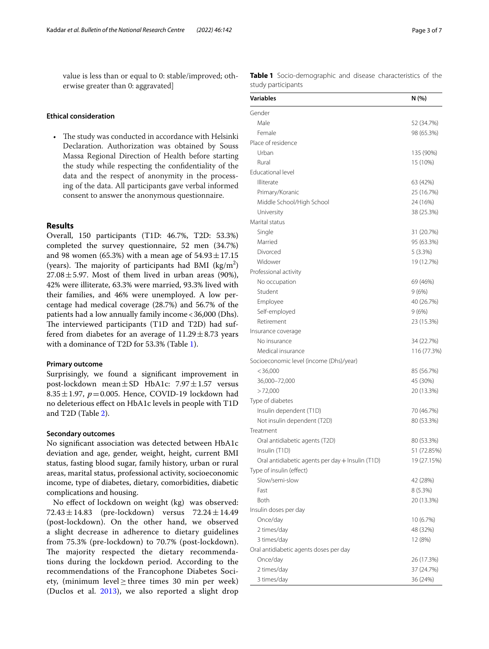value is less than or equal to 0: stable/improved; otherwise greater than 0: aggravated]

## **Ethical consideration**

• The study was conducted in accordance with Helsinki Declaration. Authorization was obtained by Souss Massa Regional Direction of Health before starting the study while respecting the confdentiality of the data and the respect of anonymity in the processing of the data. All participants gave verbal informed consent to answer the anonymous questionnaire.

## **Results**

Overall, 150 participants (T1D: 46.7%, T2D: 53.3%) completed the survey questionnaire, 52 men (34.7%) and 98 women (65.3%) with a mean age of  $54.93 \pm 17.15$ (years). The majority of participants had BMI  $(kg/m<sup>2</sup>)$  $27.08 \pm 5.97$ . Most of them lived in urban areas (90%), 42% were illiterate, 63.3% were married, 93.3% lived with their families, and 46% were unemployed. A low percentage had medical coverage (28.7%) and 56.7% of the patients had a low annually family income<36,000 (Dhs). The interviewed participants (T1D and T2D) had suffered from diabetes for an average of  $11.29 \pm 8.73$  years with a dominance of T2D for 53.3% (Table [1](#page-2-0)).

### **Primary outcome**

Surprisingly, we found a signifcant improvement in post-lockdown mean $\pm$ SD HbA1c: 7.97 $\pm$ 1.57 versus 8.35 $\pm$ 1.97,  $p = 0.005$ . Hence, COVID-19 lockdown had no deleterious efect on HbA1c levels in people with T1D and T2D (Table [2\)](#page-3-0).

#### **Secondary outcomes**

No signifcant association was detected between HbA1c deviation and age, gender, weight, height, current BMI status, fasting blood sugar, family history, urban or rural areas, marital status, professional activity, socioeconomic income, type of diabetes, dietary, comorbidities, diabetic complications and housing.

No efect of lockdown on weight (kg) was observed:  $72.43 \pm 14.83$  (pre-lockdown) versus  $72.24 \pm 14.49$ (post-lockdown). On the other hand, we observed a slight decrease in adherence to dietary guidelines from 75.3% (pre-lockdown) to 70.7% (post-lockdown). The majority respected the dietary recommendations during the lockdown period. According to the recommendations of the Francophone Diabetes Society, (minimum level  $\geq$  three times 30 min per week) (Duclos et al. [2013](#page-5-4)), we also reported a slight drop <span id="page-2-0"></span>**Table 1** Socio-demographic and disease characteristics of the study participants

| <b>Variables</b>                                 | N (%)       |
|--------------------------------------------------|-------------|
| Gender                                           |             |
| Male                                             | 52 (34.7%)  |
| Female                                           | 98 (65.3%)  |
| Place of residence                               |             |
| Urban                                            | 135 (90%)   |
| Rural                                            | 15 (10%)    |
| <b>Educational level</b>                         |             |
| Illiterate                                       | 63 (42%)    |
| Primary/Koranic                                  | 25 (16.7%)  |
| Middle School/High School                        | 24 (16%)    |
| University                                       | 38 (25.3%)  |
| Marital status                                   |             |
| Single                                           | 31 (20.7%)  |
| Married                                          | 95 (63.3%)  |
| Divorced                                         | 5(3.3%)     |
| Widower                                          | 19 (12.7%)  |
| Professional activity                            |             |
| No occupation                                    | 69 (46%)    |
| Student                                          | 9(6%)       |
| Employee                                         | 40 (26.7%)  |
| Self-employed                                    | 9 (6%)      |
| Retirement                                       | 23 (15.3%)  |
| Insurance coverage                               |             |
| No insurance                                     | 34 (22.7%)  |
| Medical insurance                                | 116 (77.3%) |
| Socioeconomic level (income (Dhs)/year)          |             |
| < 36,000                                         | 85 (56.7%)  |
| 36,000-72,000                                    | 45 (30%)    |
| >72,000                                          | 20 (13.3%)  |
| Type of diabetes                                 |             |
| Insulin dependent (T1D)                          | 70 (46.7%)  |
| Not insulin dependent (T2D)                      | 80 (53.3%)  |
| Treatment                                        |             |
| Oral antidiabetic agents (T2D)                   | 80 (53.3%)  |
| Insulin (T1D)                                    | 51 (72.85%) |
| Oral antidiabetic agents per day + Insulin (T1D) | 19 (27.15%) |
| Type of insulin (effect)                         |             |
| Slow/semi-slow                                   | 42 (28%)    |
| Fast                                             | 8 (5.3%)    |
| Both                                             | 20 (13.3%)  |
| Insulin doses per day                            |             |
| Once/day                                         | 10 (6.7%)   |
| 2 times/day                                      | 48 (32%)    |
| 3 times/day                                      | 12 (8%)     |
| Oral antidiabetic agents doses per day           |             |
| Once/day                                         | 26 (17.3%)  |
| 2 times/day                                      | 37 (24.7%)  |
|                                                  |             |
| 3 times/day                                      | 36 (24%)    |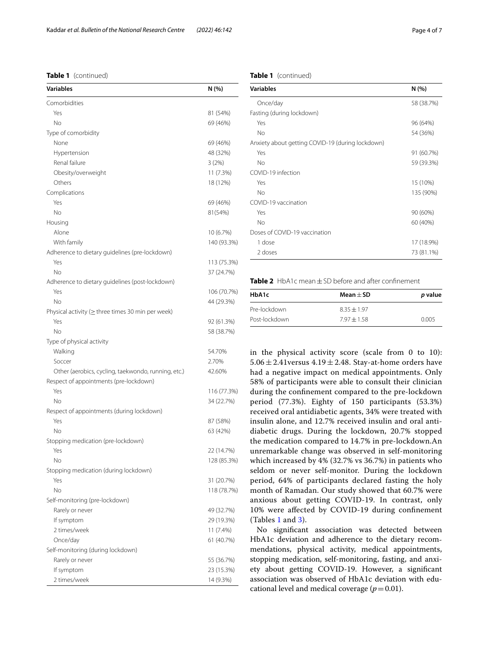**Table 1** (continued)

| <b>Variables</b>                                        | N (%)       |
|---------------------------------------------------------|-------------|
| Comorbidities                                           |             |
| Yes                                                     | 81 (54%)    |
| No                                                      | 69 (46%)    |
| Type of comorbidity                                     |             |
| None                                                    | 69 (46%)    |
| Hypertension                                            | 48 (32%)    |
| Renal failure                                           | 3(2%)       |
| Obesity/overweight                                      | 11 (7.3%)   |
| Others                                                  | 18 (12%)    |
| Complications                                           |             |
| Yes                                                     | 69 (46%)    |
| No                                                      | 81(54%)     |
| Housing                                                 |             |
| Alone                                                   | 10 (6.7%)   |
| With family                                             | 140 (93.3%) |
| Adherence to dietary guidelines (pre-lockdown)          |             |
| Yes                                                     | 113 (75.3%) |
| No                                                      | 37 (24.7%)  |
| Adherence to dietary quidelines (post-lockdown)         |             |
| Yes                                                     | 106 (70.7%) |
| No                                                      | 44 (29.3%)  |
| Physical activity ( $\geq$ three times 30 min per week) |             |
| Yes                                                     | 92 (61.3%)  |
| No                                                      | 58 (38.7%)  |
| Type of physical activity                               |             |
| Walking                                                 | 54.70%      |
| Soccer                                                  | 2.70%       |
| Other (aerobics, cycling, taekwondo, running, etc.)     | 42.60%      |
| Respect of appointments (pre-lockdown)                  |             |
| Yes                                                     | 116 (77.3%) |
| No                                                      | 34 (22.7%)  |
| Respect of appointments (during lockdown)               |             |
| Yes                                                     | 87 (58%)    |
| No                                                      | 63 (42%)    |
| Stopping medication (pre-lockdown)                      |             |
| Yes                                                     | 22 (14.7%)  |
| Νo                                                      | 128 (85.3%) |
| Stopping medication (during lockdown)                   |             |
| Yes                                                     | 31 (20.7%)  |
| No                                                      | 118 (78.7%) |
| Self-monitoring (pre-lockdown)                          |             |
| Rarely or never                                         | 49 (32.7%)  |
| If symptom                                              | 29 (19.3%)  |
| 2 times/week                                            | 11 (7.4%)   |
| Once/day                                                | 61 (40.7%)  |
| Self-monitoring (during lockdown)                       |             |
| Rarely or never                                         | 55 (36.7%)  |
| If symptom                                              | 23 (15.3%)  |
| 2 times/week                                            | 14 (9.3%)   |

#### **Table 1** (continued)

| <b>Variables</b>                                 | N (%)      |
|--------------------------------------------------|------------|
| Once/day                                         | 58 (38.7%) |
| Fasting (during lockdown)                        |            |
| Yes                                              | 96 (64%)   |
| No                                               | 54 (36%)   |
| Anxiety about getting COVID-19 (during lockdown) |            |
| Yes                                              | 91 (60.7%) |
| No                                               | 59 (39.3%) |
| COVID-19 infection                               |            |
| Yes                                              | 15 (10%)   |
| No                                               | 135 (90%)  |
| COVID-19 vaccination                             |            |
| Yes                                              | 90 (60%)   |
| No                                               | 60 (40%)   |
| Doses of COVID-19 vaccination                    |            |
| 1 dose                                           | 17 (18.9%) |
| 2 doses                                          | 73 (81.1%) |

<span id="page-3-0"></span>**Table 2** HbA1c mean±SD before and after confnement

| HbA1c         | Mean $+$ SD   | p value |
|---------------|---------------|---------|
| Pre-lockdown  | $835 + 197$   |         |
| Post-lockdown | $7.97 + 1.58$ | 0.005   |

in the physical activity score (scale from 0 to 10): 5.06  $\pm$  2.41 versus 4.19  $\pm$  2.48. Stay-at-home orders have had a negative impact on medical appointments. Only 58% of participants were able to consult their clinician during the confnement compared to the pre-lockdown period (77.3%). Eighty of 150 participants (53.3%) received oral antidiabetic agents, 34% were treated with insulin alone, and 12.7% received insulin and oral antidiabetic drugs. During the lockdown, 20.7% stopped the medication compared to 14.7% in pre-lockdown.An unremarkable change was observed in self-monitoring which increased by 4% (32.7% vs 36.7%) in patients who seldom or never self-monitor. During the lockdown period, 64% of participants declared fasting the holy month of Ramadan. Our study showed that 60.7% were anxious about getting COVID-19. In contrast, only 10% were afected by COVID-19 during confnement (Tables [1](#page-2-0) and [3](#page-4-0)).

No signifcant association was detected between HbA1c deviation and adherence to the dietary recommendations, physical activity, medical appointments, stopping medication, self-monitoring, fasting, and anxiety about getting COVID-19. However, a signifcant association was observed of HbA1c deviation with educational level and medical coverage  $(p=0.01)$ .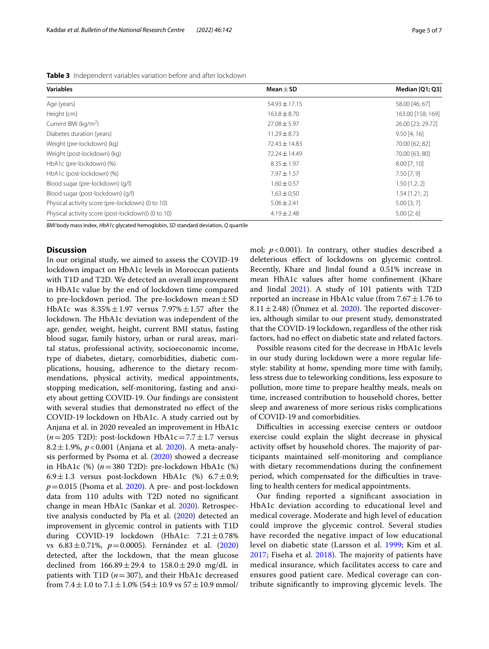| <b>Variables</b>                                   | Mean $\pm$ SD     | Median [Q1; Q3]   |  |
|----------------------------------------------------|-------------------|-------------------|--|
| Age (years)                                        | $54.93 \pm 17.15$ | 58.00 [46; 67]    |  |
| Height (cm)                                        | $163.8 \pm 8.70$  | 163.00 [158; 169] |  |
| Current BMI (kg/m <sup>2</sup> )                   | $27.08 \pm 5.97$  | 26.00 [23; 29.72] |  |
| Diabetes duration (years)                          | $11.29 \pm 8.73$  | 9.50 [4; 16]      |  |
| Weight (pre-lockdown) (kg)                         | $72.43 \pm 14.83$ | 70.00 [62; 82]    |  |
| Weight (post-lockdown) (kg)                        | $72.24 \pm 14.49$ | 70.00 [63; 80]    |  |
| HbA1c (pre-lockdown) (%)                           | $8.35 \pm 1.97$   | 8.00 [7; 10]      |  |
| HbA1c (post-lockdown) (%)                          | $7.97 + 1.57$     | $7.50$ [7; 9]     |  |
| Blood sugar (pre-lockdown) (g/l)                   | $1.60 \pm 0.57$   | $1.50$ [1.2; 2]   |  |
| Blood sugar (post-lockdown) (g/l)                  | $1.63 \pm 0.50$   | $1.54$ [1.21; 2]  |  |
| Physical activity score (pre-lockdown) (0 to 10)   | $5.06 \pm 2.41$   | $5.00$ [3; 7]     |  |
| Physical activity score (post-lockdown)) (0 to 10) | $4.19 \pm 2.48$   | $5.00$ [2; 6]     |  |
|                                                    |                   |                   |  |

<span id="page-4-0"></span>**Table 3** Independent variables variation before and after lockdown

*BMI* body mass index, *HbA1c* glycated hemoglobin, *SD* standard deviation, *Q* quartile

### **Discussion**

In our original study, we aimed to assess the COVID-19 lockdown impact on HbA1c levels in Moroccan patients with T1D and T2D. We detected an overall improvement in HbA1c value by the end of lockdown time compared to pre-lockdown period. The pre-lockdown mean $\pm$ SD HbA1c was  $8.35\% \pm 1.97$  versus  $7.97\% \pm 1.57$  after the lockdown. The HbA1c deviation was independent of the age, gender, weight, height, current BMI status, fasting blood sugar, family history, urban or rural areas, marital status, professional activity, socioeconomic income, type of diabetes, dietary, comorbidities, diabetic complications, housing, adherence to the dietary recommendations, physical activity, medical appointments, stopping medication, self-monitoring, fasting and anxiety about getting COVID-19. Our fndings are consistent with several studies that demonstrated no efect of the COVID-19 lockdown on HbA1c. A study carried out by Anjana et al. in 2020 revealed an improvement in HbA1c ( $n=205$  T2D): post-lockdown HbA1c=7.7 ± 1.7 versus 8.2±1.9%, *p*<0.001 (Anjana et al. [2020\)](#page-5-5). A meta-analysis performed by Psoma et al. ([2020\)](#page-6-0) showed a decrease in HbA1c (%) (*n*=380 T2D): pre-lockdown HbA1c (%) 6.9 $\pm$ 1.3 versus post-lockdown HbA1c (%) 6.7 $\pm$ 0.9;  $p=0.015$  (Psoma et al. [2020\)](#page-6-0). A pre- and post-lockdown data from 110 adults with T2D noted no signifcant change in mean HbA1c (Sankar et al. [2020](#page-6-1)). Retrospective analysis conducted by Pla et al. [\(2020\)](#page-5-6) detected an improvement in glycemic control in patients with T1D during COVID-19 lockdown (HbA1c:  $7.21 \pm 0.78\%$ vs 6.83±0.71%, *p*=0.0005). Fernández et al. ([2020](#page-5-7)) detected, after the lockdown, that the mean glucose declined from  $166.89 \pm 29.4$  to  $158.0 \pm 29.0$  mg/dL in patients with T1D  $(n=307)$ , and their HbA1c decreased from  $7.4 \pm 1.0$  to  $7.1 \pm 1.0$ % ( $54 \pm 10.9$  vs  $57 \pm 10.9$  mmol/ mol; *p*<0.001). In contrary, other studies described a deleterious efect of lockdowns on glycemic control. Recently, Khare and Jindal found a 0.51% increase in mean HbA1c values after home confnement (Khare and Jindal [2021\)](#page-5-8). A study of 101 patients with T2D reported an increase in HbA1c value (from  $7.67 \pm 1.76$  to 8.11 $\pm$ 2.48) (Önmez et al. [2020](#page-5-9)). The reported discoveries, although similar to our present study, demonstrated that the COVID-19 lockdown, regardless of the other risk factors, had no effect on diabetic state and related factors.

Possible reasons cited for the decrease in HbA1c levels in our study during lockdown were a more regular lifestyle: stability at home, spending more time with family, less stress due to teleworking conditions, less exposure to pollution, more time to prepare healthy meals, meals on time, increased contribution to household chores, better sleep and awareness of more serious risks complications of COVID-19 and comorbidities.

Difficulties in accessing exercise centers or outdoor exercise could explain the slight decrease in physical activity offset by household chores. The majority of participants maintained self-monitoring and compliance with dietary recommendations during the confnement period, which compensated for the difficulties in traveling to health centers for medical appointments.

Our fnding reported a signifcant association in HbA1c deviation according to educational level and medical coverage. Moderate and high level of education could improve the glycemic control. Several studies have recorded the negative impact of low educational level on diabetic state (Larsson et al. [1999](#page-5-10); Kim et al.  $2017$ ; Fiseha et al.  $2018$ ). The majority of patients have medical insurance, which facilitates access to care and ensures good patient care. Medical coverage can contribute significantly to improving glycemic levels. The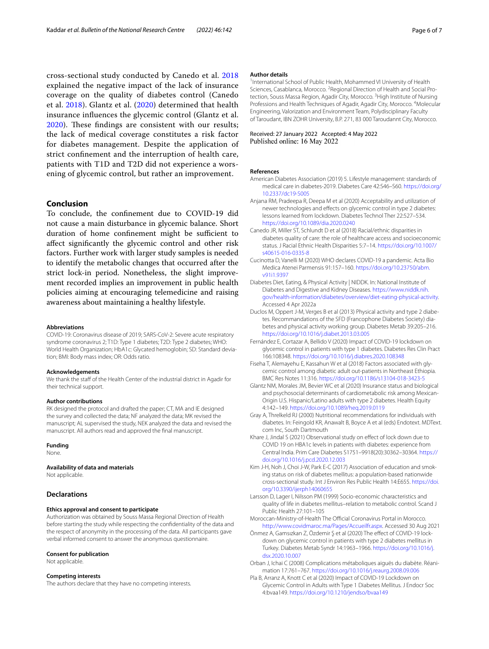cross-sectional study conducted by Canedo et al. [2018](#page-5-13) explained the negative impact of the lack of insurance coverage on the quality of diabetes control (Canedo et al. [2018](#page-5-13)). Glantz et al. ([2020\)](#page-5-14) determined that health insurance infuences the glycemic control (Glantz et al. [2020\)](#page-5-14). These findings are consistent with our results; the lack of medical coverage constitutes a risk factor for diabetes management. Despite the application of strict confnement and the interruption of health care, patients with T1D and T2D did not experience a worsening of glycemic control, but rather an improvement.

## **Conclusion**

To conclude, the confnement due to COVID-19 did not cause a main disturbance in glycemic balance. Short duration of home confinement might be sufficient to afect signifcantly the glycemic control and other risk factors. Further work with larger study samples is needed to identify the metabolic changes that occurred after the strict lock-in period. Nonetheless, the slight improvement recorded implies an improvement in public health policies aiming at encouraging telemedicine and raising awareness about maintaining a healthy lifestyle.

#### **Abbreviations**

COVID-19: Coronavirus disease of 2019; SARS-CoV-2: Severe acute respiratory syndrome coronavirus 2; T1D: Type 1 diabetes; T2D: Type 2 diabetes; WHO: World Health Organization; HbA1c: Glycated hemoglobin; SD: Standard deviation; BMI: Body mass index; OR: Odds ratio.

#### **Acknowledgements**

We thank the staff of the Health Center of the industrial district in Agadir for their technical support.

#### **Author contributions**

RK designed the protocol and drafted the paper; CT, MA and IE designed the survey and collected the data; NF analyzed the data; MK revised the manuscript; AL supervised the study, NEK analyzed the data and revised the manuscript. All authors read and approved the fnal manuscript.

#### **Funding**

None.

#### **Availability of data and materials**

Not applicable.

#### **Declarations**

#### **Ethics approval and consent to participate**

Authorization was obtained by Souss Massa Regional Direction of Health before starting the study while respecting the confdentiality of the data and the respect of anonymity in the processing of the data. All participants gave verbal informed consent to answer the anonymous questionnaire.

#### **Consent for publication**

Not applicable.

#### **Competing interests**

The authors declare that they have no competing interests.

#### **Author details**

<sup>1</sup>International School of Public Health, Mohammed VI University of Health Sciences, Casablanca, Morocco. <sup>2</sup> Regional Direction of Health and Social Protection, Souss Massa Region, Agadir City, Morocco.<sup>3</sup> High Institute of Nursing Professions and Health Techniques of Agadir, Agadir City, Morocco. <sup>4</sup>Molecular Engineering, Valorization and Environment Team, Polydisciplinary Faculty of Taroudant, IBN ZOHR University, B.P. 271, 83 000 Taroudannt City, Morocco.

#### Received: 27 January 2022 Accepted: 4 May 2022 Published online: 16 May 2022

#### **References**

- <span id="page-5-3"></span>American Diabetes Association (2019) 5. Lifestyle management: standards of medical care in diabetes-2019. Diabetes Care 42:S46–S60. [https://doi.org/](https://doi.org/10.2337/dc19-S005) [10.2337/dc19-S005](https://doi.org/10.2337/dc19-S005)
- <span id="page-5-5"></span>Anjana RM, Pradeepa R, Deepa M et al (2020) Acceptability and utilization of newer technologies and effects on glycemic control in type 2 diabetes: lessons learned from lockdown. Diabetes Technol Ther 22:527–534. <https://doi.org/10.1089/dia.2020.0240>
- <span id="page-5-13"></span>Canedo JR, Miller ST, Schlundt D et al (2018) Racial/ethnic disparities in diabetes quality of care: the role of healthcare access and socioeconomic status. J Racial Ethnic Health Disparities 5:7–14. [https://doi.org/10.1007/](https://doi.org/10.1007/s40615-016-0335-8) [s40615-016-0335-8](https://doi.org/10.1007/s40615-016-0335-8)
- <span id="page-5-0"></span>Cucinotta D, Vanelli M (2020) WHO declares COVID-19 a pandemic. Acta Bio Medica Atenei Parmensis 91:157–160. [https://doi.org/10.23750/abm.](https://doi.org/10.23750/abm.v91i1.9397) [v91i1.9397](https://doi.org/10.23750/abm.v91i1.9397)
- Diabetes Diet, Eating, & Physical Activity | NIDDK. In: National Institute of Diabetes and Digestive and Kidney Diseases. [https://www.niddk.nih.](https://www.niddk.nih.gov/health-information/diabetes/overview/diet-eating-physical-activity) [gov/health-information/diabetes/overview/diet-eating-physical-activity.](https://www.niddk.nih.gov/health-information/diabetes/overview/diet-eating-physical-activity) Accessed 4 Apr 2022a
- <span id="page-5-4"></span>Duclos M, Oppert J-M, Verges B et al (2013) Physical activity and type 2 diabetes. Recommandations of the SFD (Francophone Diabetes Society) diabetes and physical activity working group. Diabetes Metab 39:205–216. <https://doi.org/10.1016/j.diabet.2013.03.005>
- <span id="page-5-7"></span>Fernández E, Cortazar A, Bellido V (2020) Impact of COVID-19 lockdown on glycemic control in patients with type 1 diabetes. Diabetes Res Clin Pract 166:108348. <https://doi.org/10.1016/j.diabres.2020.108348>
- <span id="page-5-12"></span>Fiseha T, Alemayehu E, Kassahun W et al (2018) Factors associated with glycemic control among diabetic adult out-patients in Northeast Ethiopia. BMC Res Notes 11:316. <https://doi.org/10.1186/s13104-018-3423-5>
- <span id="page-5-14"></span>Glantz NM, Morales JM, Bevier WC et al (2020) Insurance status and biological and psychosocial determinants of cardiometabolic risk among Mexican-Origin U.S. Hispanic/Latino adults with type 2 diabetes. Health Equity 4:142–149.<https://doi.org/10.1089/heq.2019.0119>
- <span id="page-5-2"></span>Gray A, Threlkeld RJ (2000) Nutritional recommendations for individuals with diabetes. In: Feingold KR, Anawalt B, Boyce A et al (eds) Endotext. MDText. com Inc, South Dartmouth
- <span id="page-5-8"></span>Khare J, Jindal S (2021) Observational study on efect of lock down due to COVID 19 on HBA1c levels in patients with diabetes: experience from Central India. Prim Care Diabetes S1751–9918(20):30362–30364. [https://](https://doi.org/10.1016/j.pcd.2020.12.003) [doi.org/10.1016/j.pcd.2020.12.003](https://doi.org/10.1016/j.pcd.2020.12.003)
- <span id="page-5-11"></span>Kim J-H, Noh J, Choi J-W, Park E-C (2017) Association of education and smoking status on risk of diabetes mellitus: a population-based nationwide cross-sectional study. Int J Environ Res Public Health 14:E655. [https://doi.](https://doi.org/10.3390/ijerph14060655) [org/10.3390/ijerph14060655](https://doi.org/10.3390/ijerph14060655)
- <span id="page-5-10"></span>Larsson D, Lager I, Nilsson PM (1999) Socio-economic characteristics and quality of life in diabetes mellitus–relation to metabolic control. Scand J Public Health 27:101–105
- Moroccan-Ministry-of-Health The Official Coronavirus Portal in Morocco. [http://www.covidmaroc.ma/Pages/Accueilfr.aspx.](http://www.covidmaroc.ma/Pages/Accueilfr.aspx) Accessed 30 Aug 2021
- <span id="page-5-9"></span>Önmez A, Gamsızkan Z, Özdemir Ş et al (2020) The efect of COVID-19 lockdown on glycemic control in patients with type 2 diabetes mellitus in Turkey. Diabetes Metab Syndr 14:1963–1966. [https://doi.org/10.1016/j.](https://doi.org/10.1016/j.dsx.2020.10.007) [dsx.2020.10.007](https://doi.org/10.1016/j.dsx.2020.10.007)
- <span id="page-5-1"></span>Orban J, Ichai C (2008) Complications métaboliques aiguës du diabète. Réanimation 17:761–767.<https://doi.org/10.1016/j.reaurg.2008.09.006>
- <span id="page-5-6"></span>Pla B, Arranz A, Knott C et al (2020) Impact of COVID-19 Lockdown on Glycemic Control in Adults with Type 1 Diabetes Mellitus. J Endocr Soc 4:bvaa149. <https://doi.org/10.1210/jendso/bvaa149>